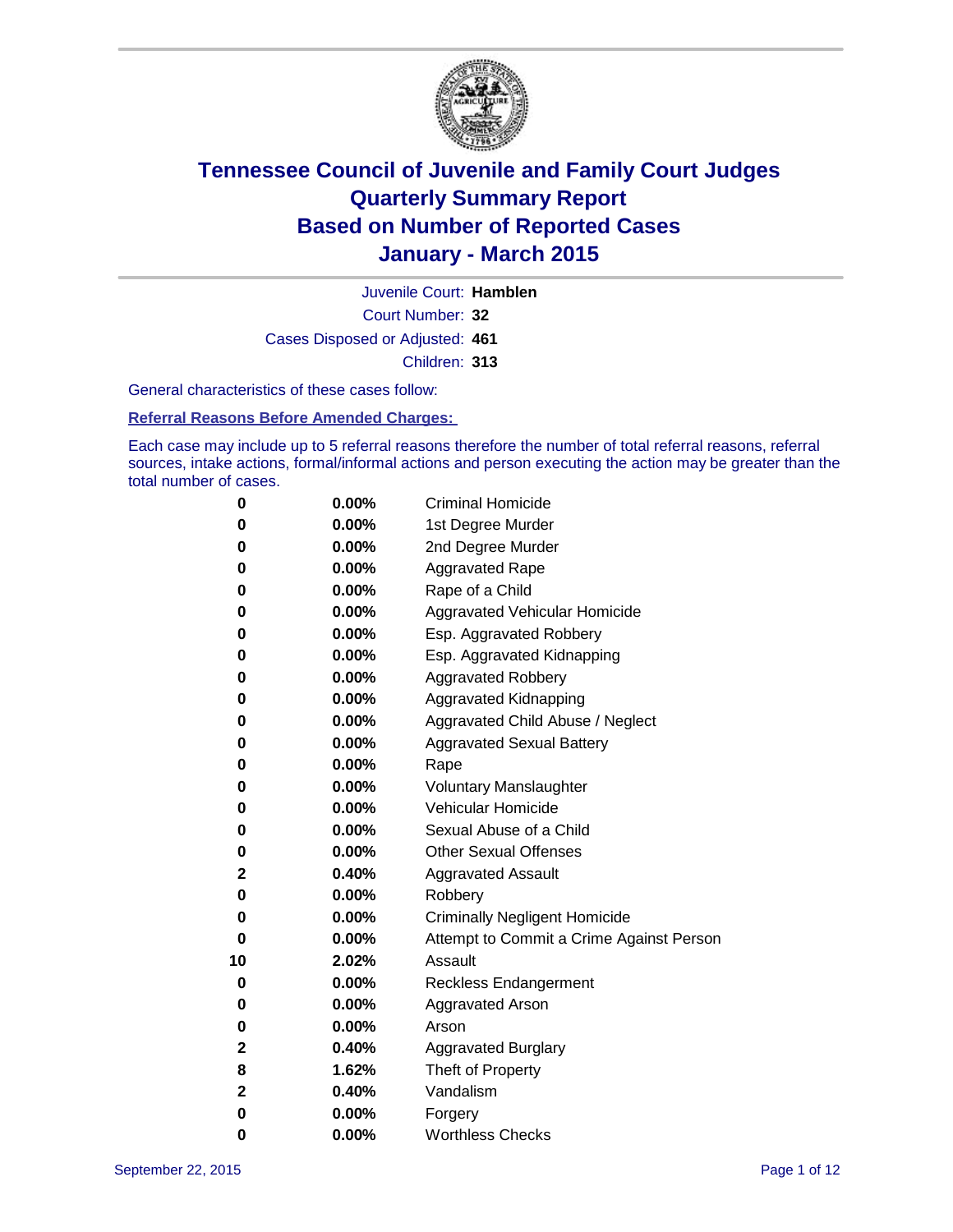

Court Number: **32** Juvenile Court: **Hamblen** Cases Disposed or Adjusted: **461** Children: **313**

General characteristics of these cases follow:

### **Referral Reasons Before Amended Charges:**

Each case may include up to 5 referral reasons therefore the number of total referral reasons, referral sources, intake actions, formal/informal actions and person executing the action may be greater than the total number of cases.

| 0  | 0.00%    | <b>Criminal Homicide</b>                 |
|----|----------|------------------------------------------|
| 0  | 0.00%    | 1st Degree Murder                        |
| 0  | 0.00%    | 2nd Degree Murder                        |
| 0  | $0.00\%$ | <b>Aggravated Rape</b>                   |
| 0  | $0.00\%$ | Rape of a Child                          |
| 0  | 0.00%    | Aggravated Vehicular Homicide            |
| 0  | 0.00%    | Esp. Aggravated Robbery                  |
| 0  | 0.00%    | Esp. Aggravated Kidnapping               |
| 0  | 0.00%    | <b>Aggravated Robbery</b>                |
| 0  | 0.00%    | <b>Aggravated Kidnapping</b>             |
| 0  | 0.00%    | Aggravated Child Abuse / Neglect         |
| 0  | 0.00%    | <b>Aggravated Sexual Battery</b>         |
| 0  | 0.00%    | Rape                                     |
| 0  | $0.00\%$ | <b>Voluntary Manslaughter</b>            |
| 0  | 0.00%    | <b>Vehicular Homicide</b>                |
| 0  | 0.00%    | Sexual Abuse of a Child                  |
| 0  | 0.00%    | <b>Other Sexual Offenses</b>             |
| 2  | 0.40%    | <b>Aggravated Assault</b>                |
| 0  | 0.00%    | Robbery                                  |
| 0  | 0.00%    | <b>Criminally Negligent Homicide</b>     |
| 0  | 0.00%    | Attempt to Commit a Crime Against Person |
| 10 | 2.02%    | Assault                                  |
| 0  | 0.00%    | <b>Reckless Endangerment</b>             |
| 0  | $0.00\%$ | <b>Aggravated Arson</b>                  |
| 0  | 0.00%    | Arson                                    |
| 2  | 0.40%    | <b>Aggravated Burglary</b>               |
| 8  | 1.62%    | Theft of Property                        |
| 2  | 0.40%    | Vandalism                                |
| 0  | 0.00%    | Forgery                                  |
| 0  | 0.00%    | <b>Worthless Checks</b>                  |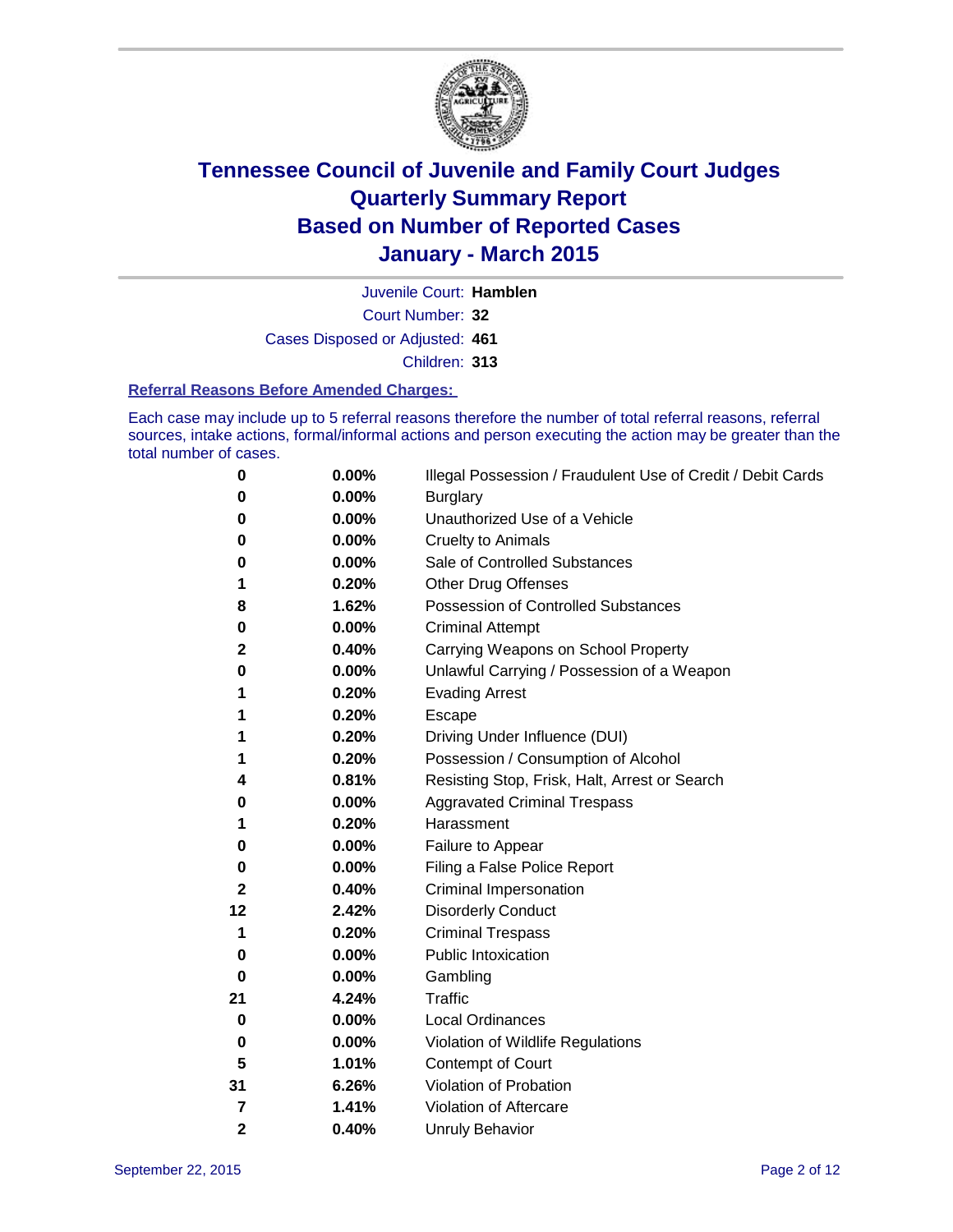

Court Number: **32** Juvenile Court: **Hamblen** Cases Disposed or Adjusted: **461** Children: **313**

### **Referral Reasons Before Amended Charges:**

Each case may include up to 5 referral reasons therefore the number of total referral reasons, referral sources, intake actions, formal/informal actions and person executing the action may be greater than the total number of cases.

| 0            | $0.00\%$ | Illegal Possession / Fraudulent Use of Credit / Debit Cards |
|--------------|----------|-------------------------------------------------------------|
| 0            | 0.00%    | <b>Burglary</b>                                             |
| 0            | 0.00%    | Unauthorized Use of a Vehicle                               |
| 0            | 0.00%    | <b>Cruelty to Animals</b>                                   |
| 0            | 0.00%    | Sale of Controlled Substances                               |
| 1            | 0.20%    | <b>Other Drug Offenses</b>                                  |
| 8            | 1.62%    | Possession of Controlled Substances                         |
| 0            | 0.00%    | <b>Criminal Attempt</b>                                     |
| 2            | 0.40%    | Carrying Weapons on School Property                         |
| 0            | 0.00%    | Unlawful Carrying / Possession of a Weapon                  |
| 1            | 0.20%    | <b>Evading Arrest</b>                                       |
| 1            | 0.20%    | Escape                                                      |
| 1            | 0.20%    | Driving Under Influence (DUI)                               |
| 1            | 0.20%    | Possession / Consumption of Alcohol                         |
| 4            | 0.81%    | Resisting Stop, Frisk, Halt, Arrest or Search               |
| 0            | 0.00%    | <b>Aggravated Criminal Trespass</b>                         |
| 1            | 0.20%    | Harassment                                                  |
| 0            | 0.00%    | Failure to Appear                                           |
| 0            | 0.00%    | Filing a False Police Report                                |
| 2            | 0.40%    | Criminal Impersonation                                      |
| 12           | 2.42%    | <b>Disorderly Conduct</b>                                   |
| 1            | 0.20%    | <b>Criminal Trespass</b>                                    |
| 0            | $0.00\%$ | <b>Public Intoxication</b>                                  |
| 0            | 0.00%    | Gambling                                                    |
| 21           | 4.24%    | <b>Traffic</b>                                              |
| 0            | 0.00%    | Local Ordinances                                            |
| 0            | 0.00%    | Violation of Wildlife Regulations                           |
| 5            | 1.01%    | Contempt of Court                                           |
| 31           | 6.26%    | Violation of Probation                                      |
| 7            | 1.41%    | Violation of Aftercare                                      |
| $\mathbf{2}$ | 0.40%    | <b>Unruly Behavior</b>                                      |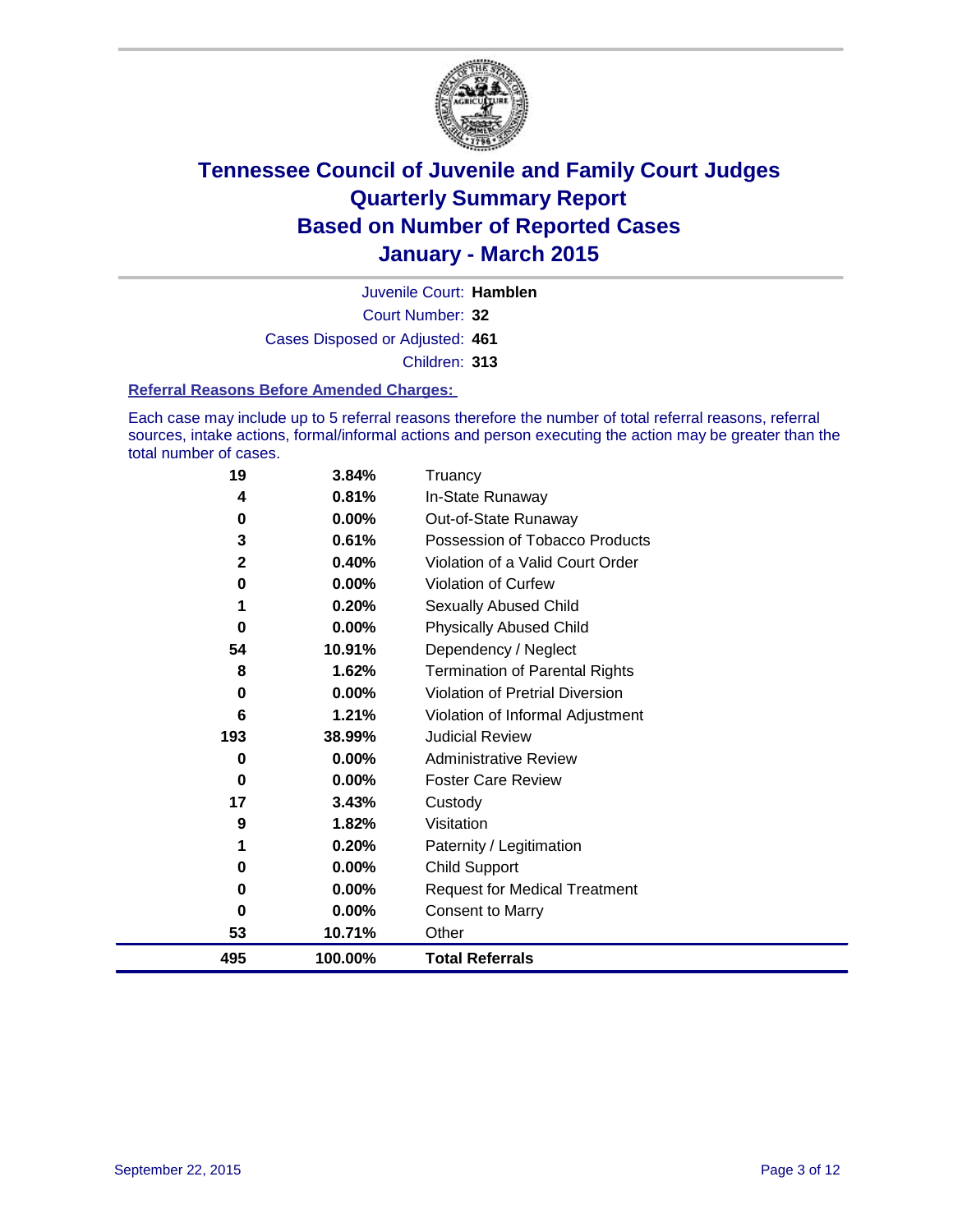

Court Number: **32** Juvenile Court: **Hamblen** Cases Disposed or Adjusted: **461** Children: **313**

#### **Referral Reasons Before Amended Charges:**

Each case may include up to 5 referral reasons therefore the number of total referral reasons, referral sources, intake actions, formal/informal actions and person executing the action may be greater than the total number of cases.

| 19           | 3.84%    | Truancy                                |
|--------------|----------|----------------------------------------|
| 4            | 0.81%    | In-State Runaway                       |
| 0            | 0.00%    | Out-of-State Runaway                   |
| 3            | 0.61%    | Possession of Tobacco Products         |
| $\mathbf{2}$ | 0.40%    | Violation of a Valid Court Order       |
| 0            | 0.00%    | <b>Violation of Curfew</b>             |
| 1            | 0.20%    | Sexually Abused Child                  |
| 0            | 0.00%    | <b>Physically Abused Child</b>         |
| 54           | 10.91%   | Dependency / Neglect                   |
| 8            | 1.62%    | <b>Termination of Parental Rights</b>  |
| 0            | 0.00%    | <b>Violation of Pretrial Diversion</b> |
| 6            | 1.21%    | Violation of Informal Adjustment       |
| 193          | 38.99%   | <b>Judicial Review</b>                 |
| 0            | $0.00\%$ | <b>Administrative Review</b>           |
| 0            | 0.00%    | <b>Foster Care Review</b>              |
| 17           | 3.43%    | Custody                                |
| 9            | 1.82%    | Visitation                             |
| 1            | 0.20%    | Paternity / Legitimation               |
| 0            | 0.00%    | <b>Child Support</b>                   |
| 0            | 0.00%    | <b>Request for Medical Treatment</b>   |
| 0            | 0.00%    | <b>Consent to Marry</b>                |
| 53           | 10.71%   | Other                                  |
| 495          | 100.00%  | <b>Total Referrals</b>                 |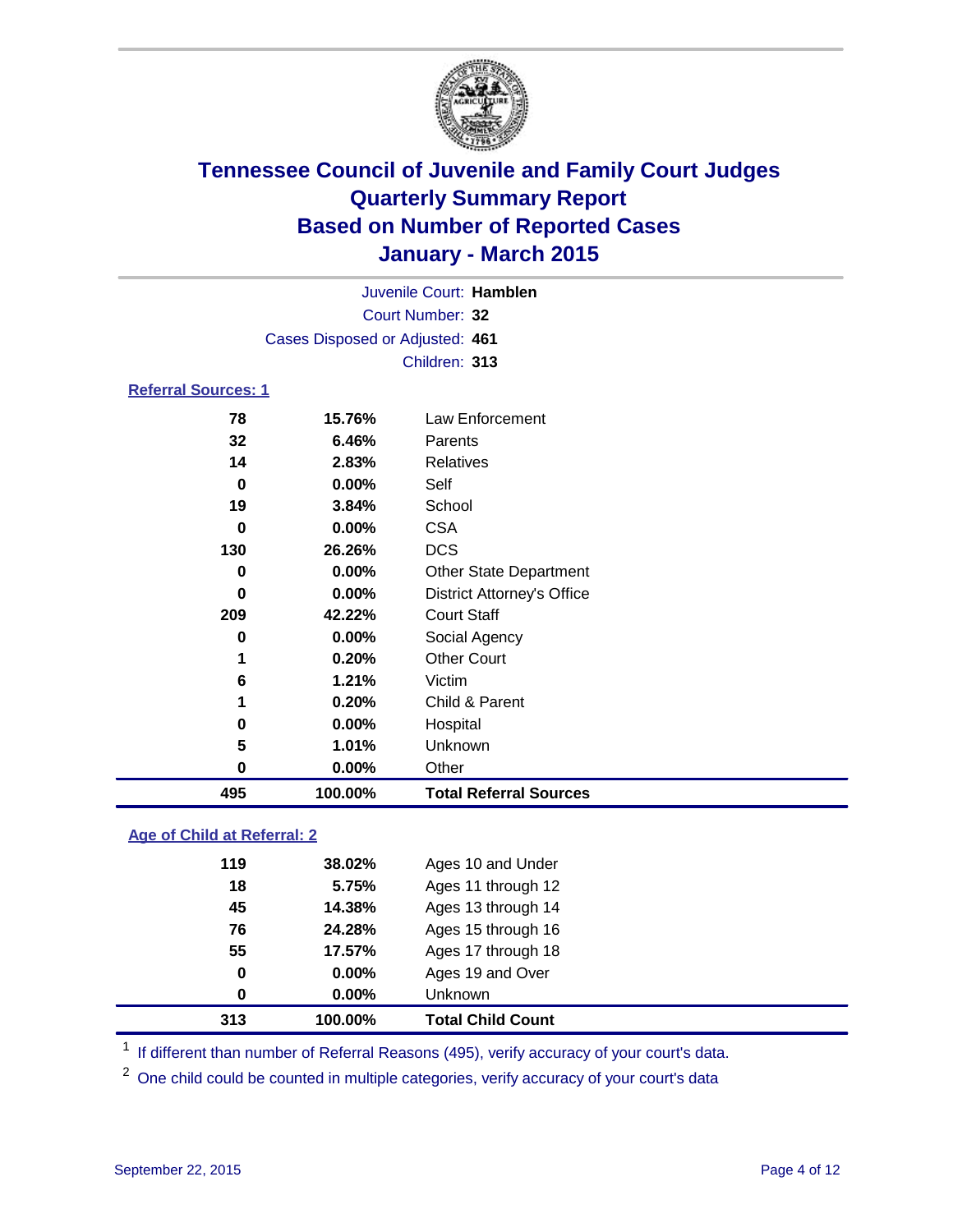

| Juvenile Court: Hamblen         |  |
|---------------------------------|--|
| Court Number: 32                |  |
| Cases Disposed or Adjusted: 461 |  |
| Children: 313                   |  |
| <b>Referral Sources: 1</b>      |  |

| 495      | 100.00%  | <b>Total Referral Sources</b>     |
|----------|----------|-----------------------------------|
| 0        | $0.00\%$ | Other                             |
| 5        | 1.01%    | <b>Unknown</b>                    |
| 0        | $0.00\%$ | Hospital                          |
| 1        | 0.20%    | Child & Parent                    |
| 6        | 1.21%    | Victim                            |
| 1        | 0.20%    | <b>Other Court</b>                |
| 0        | $0.00\%$ | Social Agency                     |
| 209      | 42.22%   | <b>Court Staff</b>                |
| 0        | $0.00\%$ | <b>District Attorney's Office</b> |
| 0        | $0.00\%$ | <b>Other State Department</b>     |
| 130      | 26.26%   | <b>DCS</b>                        |
| 0        | $0.00\%$ | <b>CSA</b>                        |
| 19       | 3.84%    | School                            |
| $\bf{0}$ | 0.00%    | Self                              |
| 14       | 2.83%    | <b>Relatives</b>                  |
| 32       | 6.46%    | Parents                           |
| 78       | 15.76%   | Law Enforcement                   |

### **Age of Child at Referral: 2**

| 313 | 100.00%  | <b>Total Child Count</b> |
|-----|----------|--------------------------|
| 0   | 0.00%    | Unknown                  |
| 0   | $0.00\%$ | Ages 19 and Over         |
| 55  | 17.57%   | Ages 17 through 18       |
| 76  | 24.28%   | Ages 15 through 16       |
| 45  | 14.38%   | Ages 13 through 14       |
| 18  | 5.75%    | Ages 11 through 12       |
| 119 | 38.02%   | Ages 10 and Under        |

<sup>1</sup> If different than number of Referral Reasons (495), verify accuracy of your court's data.

One child could be counted in multiple categories, verify accuracy of your court's data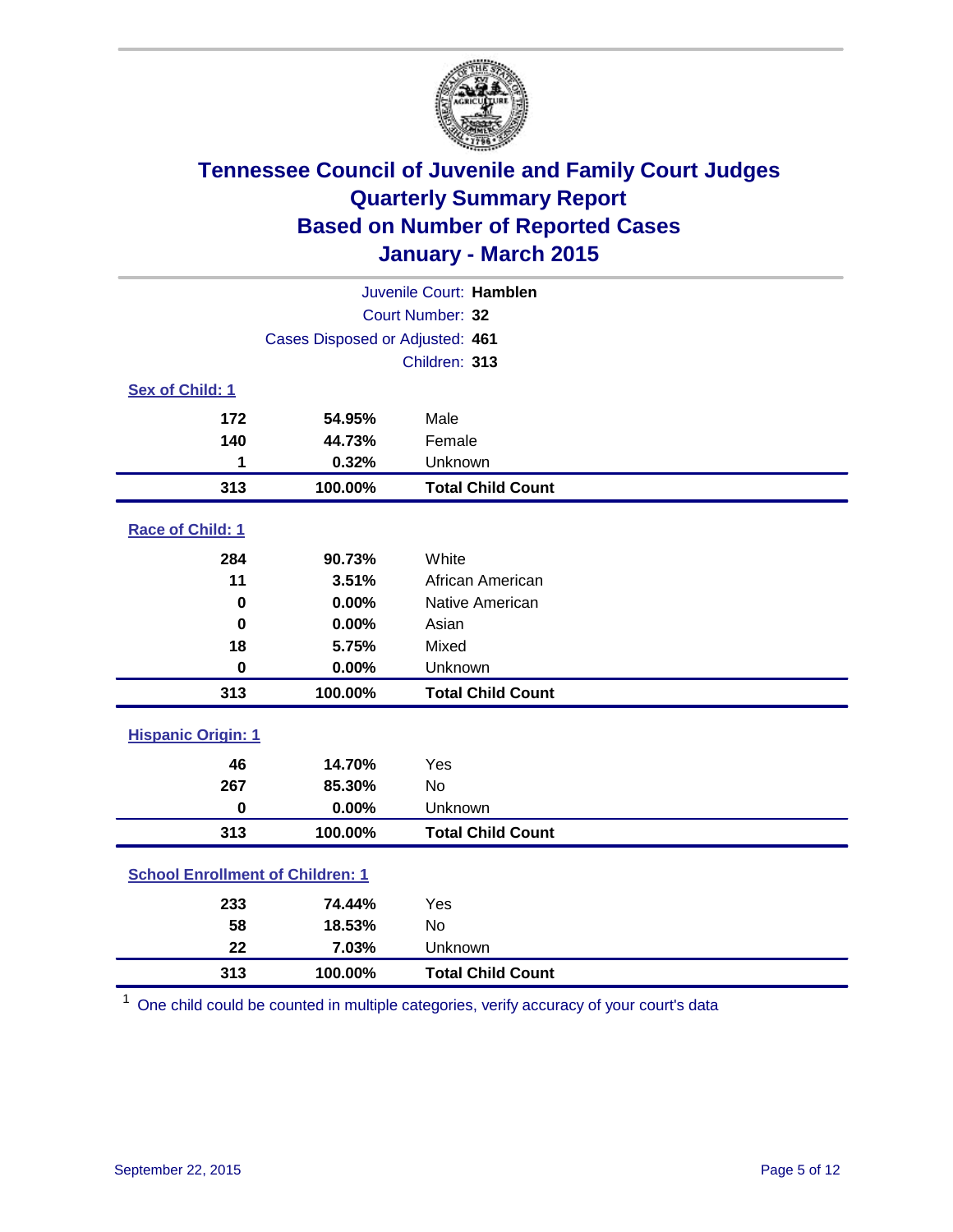

| Juvenile Court: Hamblen                 |                                 |                          |  |  |  |
|-----------------------------------------|---------------------------------|--------------------------|--|--|--|
| Court Number: 32                        |                                 |                          |  |  |  |
|                                         | Cases Disposed or Adjusted: 461 |                          |  |  |  |
|                                         |                                 | Children: 313            |  |  |  |
| <b>Sex of Child: 1</b>                  |                                 |                          |  |  |  |
| 172                                     | 54.95%                          | Male                     |  |  |  |
| 140                                     | 44.73%                          | Female                   |  |  |  |
| 1                                       | 0.32%                           | Unknown                  |  |  |  |
| 313                                     | 100.00%                         | <b>Total Child Count</b> |  |  |  |
| Race of Child: 1                        |                                 |                          |  |  |  |
| 284                                     | 90.73%                          | White                    |  |  |  |
| 11                                      | 3.51%                           | African American         |  |  |  |
| $\bf{0}$                                | 0.00%                           | Native American          |  |  |  |
| $\mathbf 0$                             | 0.00%                           | Asian                    |  |  |  |
| 18                                      | 5.75%                           | Mixed                    |  |  |  |
| $\mathbf 0$                             | 0.00%                           | Unknown                  |  |  |  |
| 313                                     | 100.00%                         | <b>Total Child Count</b> |  |  |  |
| <b>Hispanic Origin: 1</b>               |                                 |                          |  |  |  |
| 46                                      | 14.70%                          | Yes                      |  |  |  |
| 267                                     | 85.30%                          | No                       |  |  |  |
| $\bf{0}$                                | 0.00%                           | Unknown                  |  |  |  |
| 313                                     | 100.00%                         | <b>Total Child Count</b> |  |  |  |
| <b>School Enrollment of Children: 1</b> |                                 |                          |  |  |  |
| 233                                     | 74.44%                          | Yes                      |  |  |  |
| 58                                      | 18.53%                          | No                       |  |  |  |
| 22                                      | 7.03%                           | Unknown                  |  |  |  |
| 313                                     | 100.00%                         | <b>Total Child Count</b> |  |  |  |

One child could be counted in multiple categories, verify accuracy of your court's data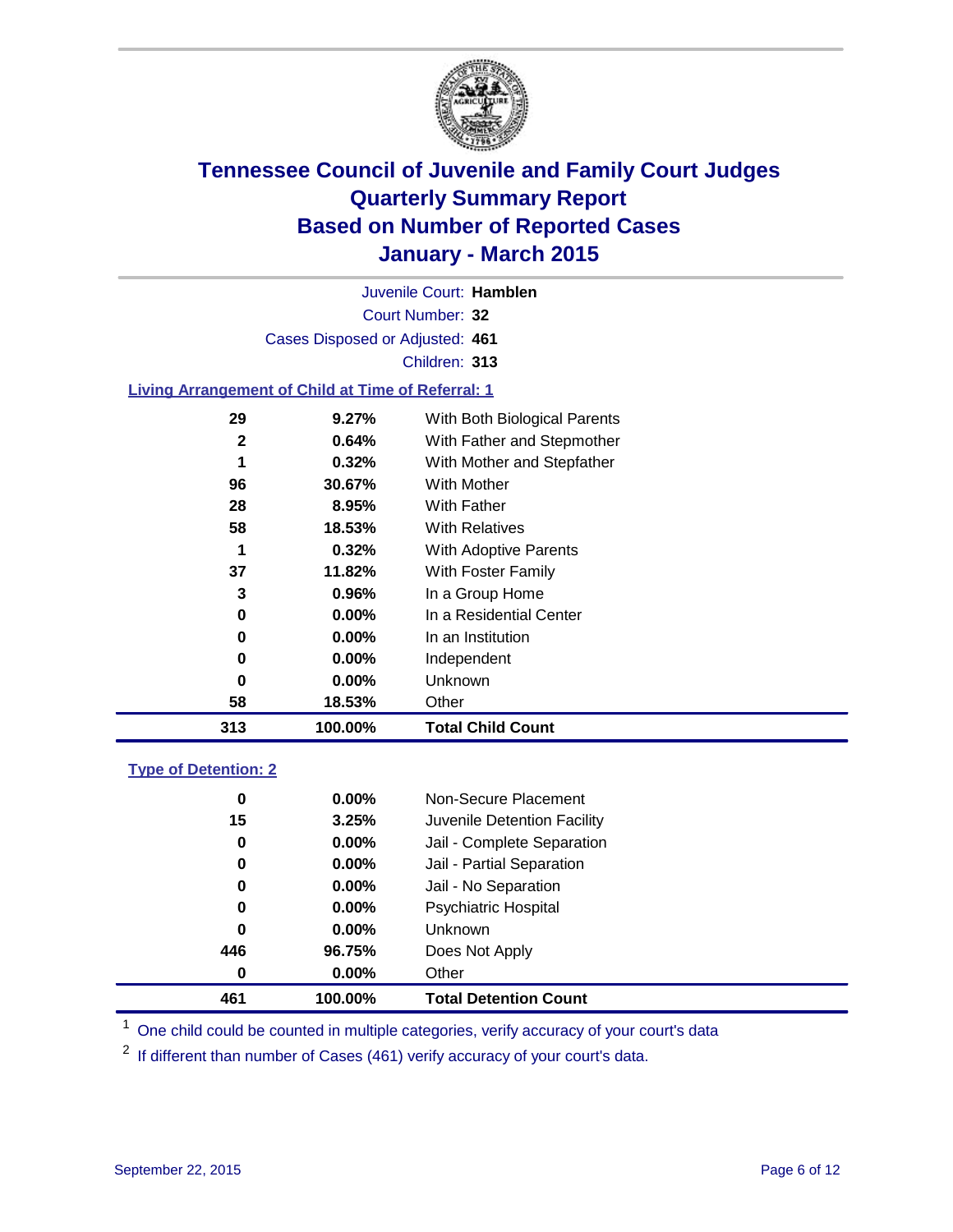

Court Number: **32** Juvenile Court: **Hamblen** Cases Disposed or Adjusted: **461** Children: **313**

### **Living Arrangement of Child at Time of Referral: 1**

| 313 | 100.00%  | <b>Total Child Count</b>     |
|-----|----------|------------------------------|
| 58  | 18.53%   | Other                        |
| 0   | $0.00\%$ | Unknown                      |
| 0   | $0.00\%$ | Independent                  |
| 0   | $0.00\%$ | In an Institution            |
| 0   | $0.00\%$ | In a Residential Center      |
| 3   | 0.96%    | In a Group Home              |
| 37  | 11.82%   | With Foster Family           |
|     | 0.32%    | With Adoptive Parents        |
| 58  | 18.53%   | <b>With Relatives</b>        |
| 28  | $8.95\%$ | With Father                  |
| 96  | 30.67%   | With Mother                  |
| 1   | 0.32%    | With Mother and Stepfather   |
| 2   | 0.64%    | With Father and Stepmother   |
| 29  | 9.27%    | With Both Biological Parents |
|     |          |                              |

#### **Type of Detention: 2**

| $0.00\%$<br>3.25%<br>$0.00\%$<br>0.00%<br>$0.00\%$<br>$0.00\%$<br>$0.00\%$<br>96.75% | Non-Secure Placement<br>Juvenile Detention Facility<br>Jail - Complete Separation<br>Jail - Partial Separation<br>Jail - No Separation<br><b>Psychiatric Hospital</b><br><b>Unknown</b><br>Does Not Apply |       |
|--------------------------------------------------------------------------------------|-----------------------------------------------------------------------------------------------------------------------------------------------------------------------------------------------------------|-------|
| 100.00%                                                                              | <b>Total Detention Count</b>                                                                                                                                                                              |       |
|                                                                                      | $0.00\%$                                                                                                                                                                                                  | Other |

<sup>1</sup> One child could be counted in multiple categories, verify accuracy of your court's data

If different than number of Cases (461) verify accuracy of your court's data.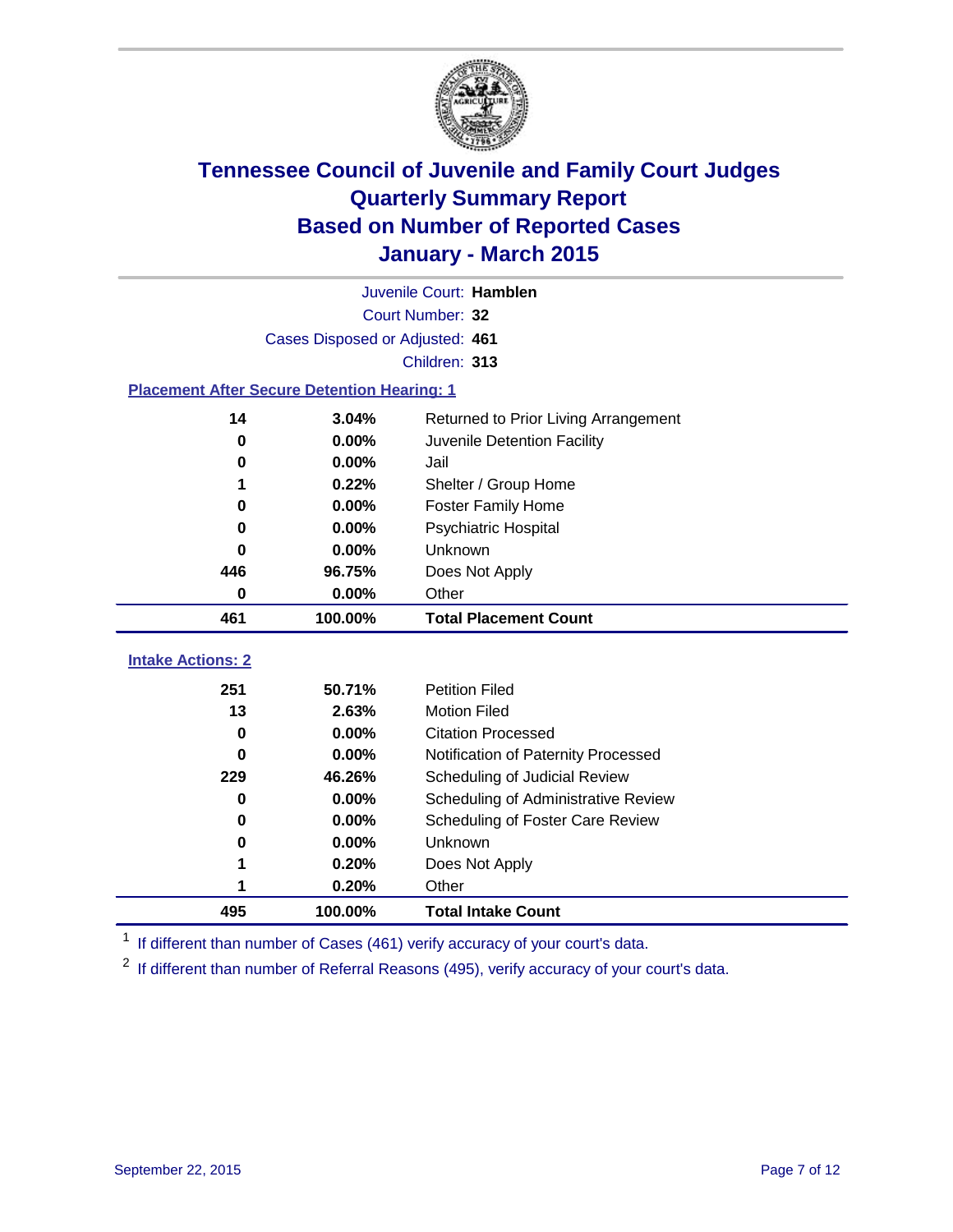

|                                                    | Juvenile Court: Hamblen         |                                      |  |  |  |  |  |
|----------------------------------------------------|---------------------------------|--------------------------------------|--|--|--|--|--|
|                                                    | Court Number: 32                |                                      |  |  |  |  |  |
|                                                    | Cases Disposed or Adjusted: 461 |                                      |  |  |  |  |  |
|                                                    | Children: 313                   |                                      |  |  |  |  |  |
| <b>Placement After Secure Detention Hearing: 1</b> |                                 |                                      |  |  |  |  |  |
| 14                                                 | 3.04%                           | Returned to Prior Living Arrangement |  |  |  |  |  |
| 0                                                  | 0.00%                           | Juvenile Detention Facility          |  |  |  |  |  |
| 0                                                  | 0.00%                           | Jail                                 |  |  |  |  |  |
| 1                                                  | 0.22%                           | Shelter / Group Home                 |  |  |  |  |  |
| 0                                                  | $0.00\%$                        | <b>Foster Family Home</b>            |  |  |  |  |  |
| 0                                                  | 0.00%                           | <b>Psychiatric Hospital</b>          |  |  |  |  |  |
| 0                                                  | 0.00%                           | Unknown                              |  |  |  |  |  |
| 446                                                | 96.75%                          | Does Not Apply                       |  |  |  |  |  |
| 0                                                  | 0.00%                           | Other                                |  |  |  |  |  |
| 461                                                | 100.00%                         | <b>Total Placement Count</b>         |  |  |  |  |  |
| <b>Intake Actions: 2</b>                           |                                 |                                      |  |  |  |  |  |
|                                                    |                                 |                                      |  |  |  |  |  |
| 251                                                | 50.71%                          | <b>Petition Filed</b>                |  |  |  |  |  |
| 13                                                 | 2.63%                           | <b>Motion Filed</b>                  |  |  |  |  |  |
| $\bf{0}$                                           | 0.00%                           | <b>Citation Processed</b>            |  |  |  |  |  |
| 0                                                  | 0.00%                           | Notification of Paternity Processed  |  |  |  |  |  |
| 229                                                | 46.26%                          | Scheduling of Judicial Review        |  |  |  |  |  |
| $\bf{0}$                                           | 0.00%                           | Scheduling of Administrative Review  |  |  |  |  |  |
| 0                                                  | 0.00%                           | Scheduling of Foster Care Review     |  |  |  |  |  |
| 0                                                  | 0.00%                           | Unknown                              |  |  |  |  |  |
| 1                                                  | 0.20%                           | Does Not Apply                       |  |  |  |  |  |
| 1                                                  | 0.20%                           | Other                                |  |  |  |  |  |
| 495                                                | 100.00%                         | <b>Total Intake Count</b>            |  |  |  |  |  |

<sup>1</sup> If different than number of Cases (461) verify accuracy of your court's data.

<sup>2</sup> If different than number of Referral Reasons (495), verify accuracy of your court's data.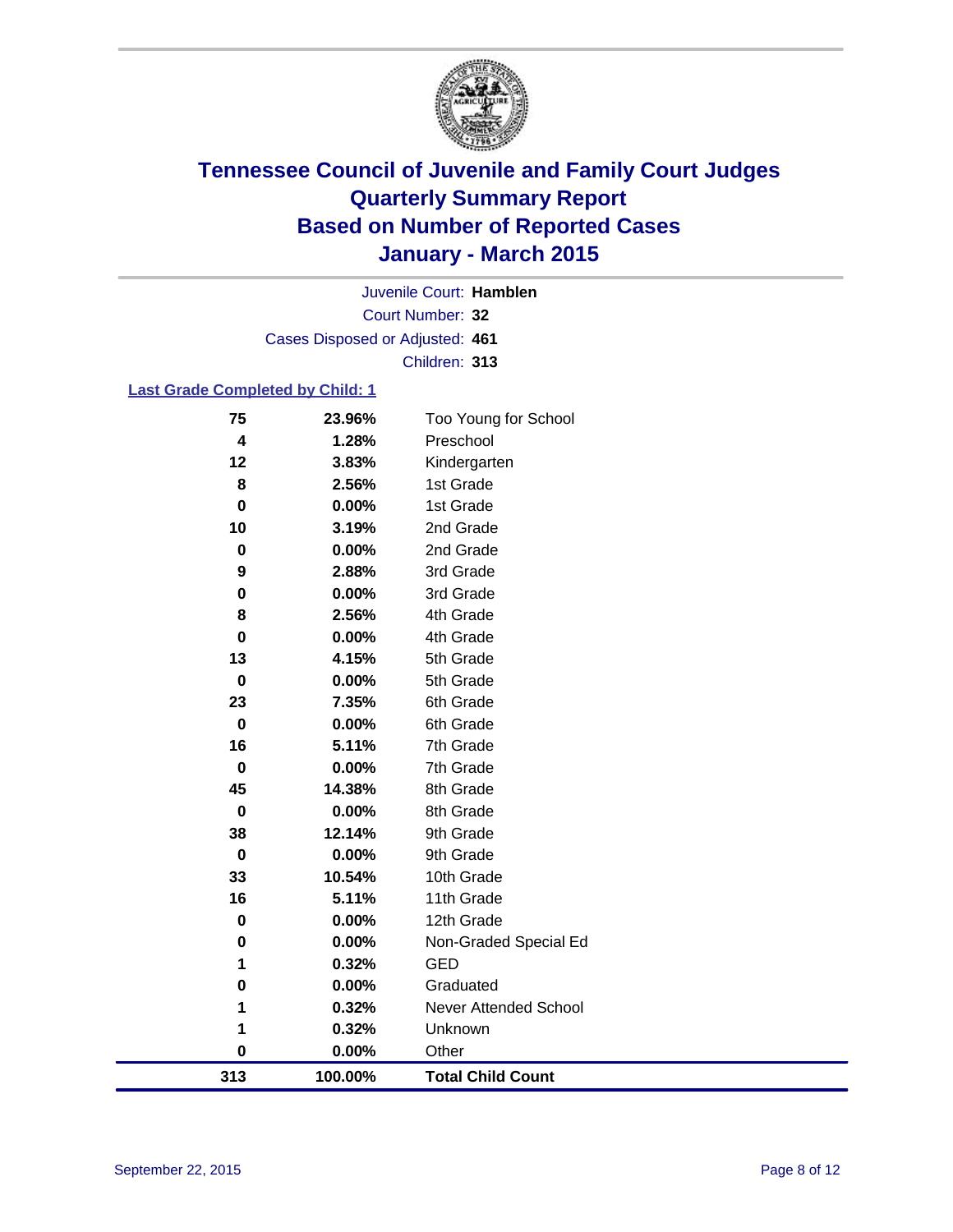

Court Number: **32** Juvenile Court: **Hamblen** Cases Disposed or Adjusted: **461** Children: **313**

### **Last Grade Completed by Child: 1**

| 313           | 100.00%        | <b>Total Child Count</b> |
|---------------|----------------|--------------------------|
| 0             | 0.00%          | Other                    |
| 1             | 0.32%          | Unknown                  |
| 1             | 0.32%          | Never Attended School    |
| $\pmb{0}$     | 0.00%          | Graduated                |
| 1             | 0.32%          | <b>GED</b>               |
| 0             | 0.00%          | Non-Graded Special Ed    |
| 0             | 0.00%          | 12th Grade               |
| 16            | 5.11%          | 11th Grade               |
| 33            | 10.54%         | 10th Grade               |
| $\mathbf 0$   | 0.00%          | 9th Grade                |
| 38            | 12.14%         | 9th Grade                |
| $\bf{0}$      | 0.00%          | 8th Grade                |
| 45            | 14.38%         | 8th Grade                |
| $\mathbf 0$   | 0.00%          | 7th Grade                |
| 16            | 5.11%          | 7th Grade                |
| $\mathbf 0$   | 0.00%          | 6th Grade                |
| 23            | 7.35%          | 6th Grade                |
| 0             | 0.00%          | 5th Grade                |
| 13            | 0.00%<br>4.15% | 5th Grade                |
| 8<br>$\bf{0}$ | 2.56%          | 4th Grade<br>4th Grade   |
| $\pmb{0}$     | 0.00%          | 3rd Grade                |
| 9             | 2.88%          | 3rd Grade                |
| 0             | 0.00%          | 2nd Grade                |
| 10            | 3.19%          | 2nd Grade                |
| $\pmb{0}$     | 0.00%          | 1st Grade                |
| 8             | 2.56%          | 1st Grade                |
| 12            | 3.83%          | Kindergarten             |
| 4             | 1.28%          | Preschool                |
| 75            | 23.96%         | Too Young for School     |
|               |                |                          |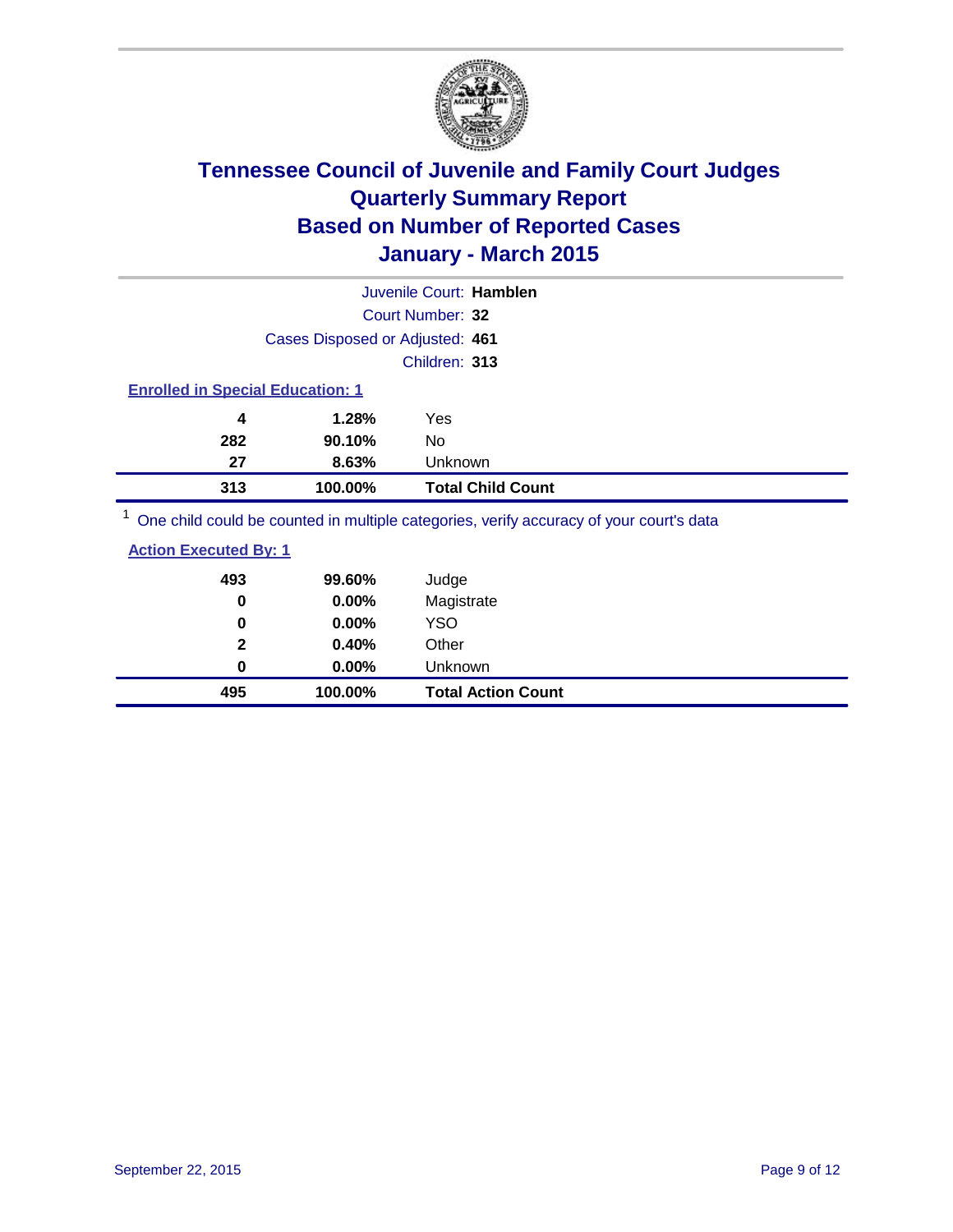

|                                                                                         | Juvenile Court: Hamblen         |                          |  |  |
|-----------------------------------------------------------------------------------------|---------------------------------|--------------------------|--|--|
|                                                                                         | Court Number: 32                |                          |  |  |
|                                                                                         | Cases Disposed or Adjusted: 461 |                          |  |  |
|                                                                                         | Children: 313                   |                          |  |  |
| <b>Enrolled in Special Education: 1</b>                                                 |                                 |                          |  |  |
| 4                                                                                       | 1.28%<br>Yes                    |                          |  |  |
| 282                                                                                     | 90.10%<br>No.                   |                          |  |  |
| 27                                                                                      | 8.63%<br><b>Unknown</b>         |                          |  |  |
| 100.00%<br>313                                                                          |                                 | <b>Total Child Count</b> |  |  |
| One child could be counted in multiple categories, verify accuracy of your court's data |                                 |                          |  |  |

**Action Executed By: 1**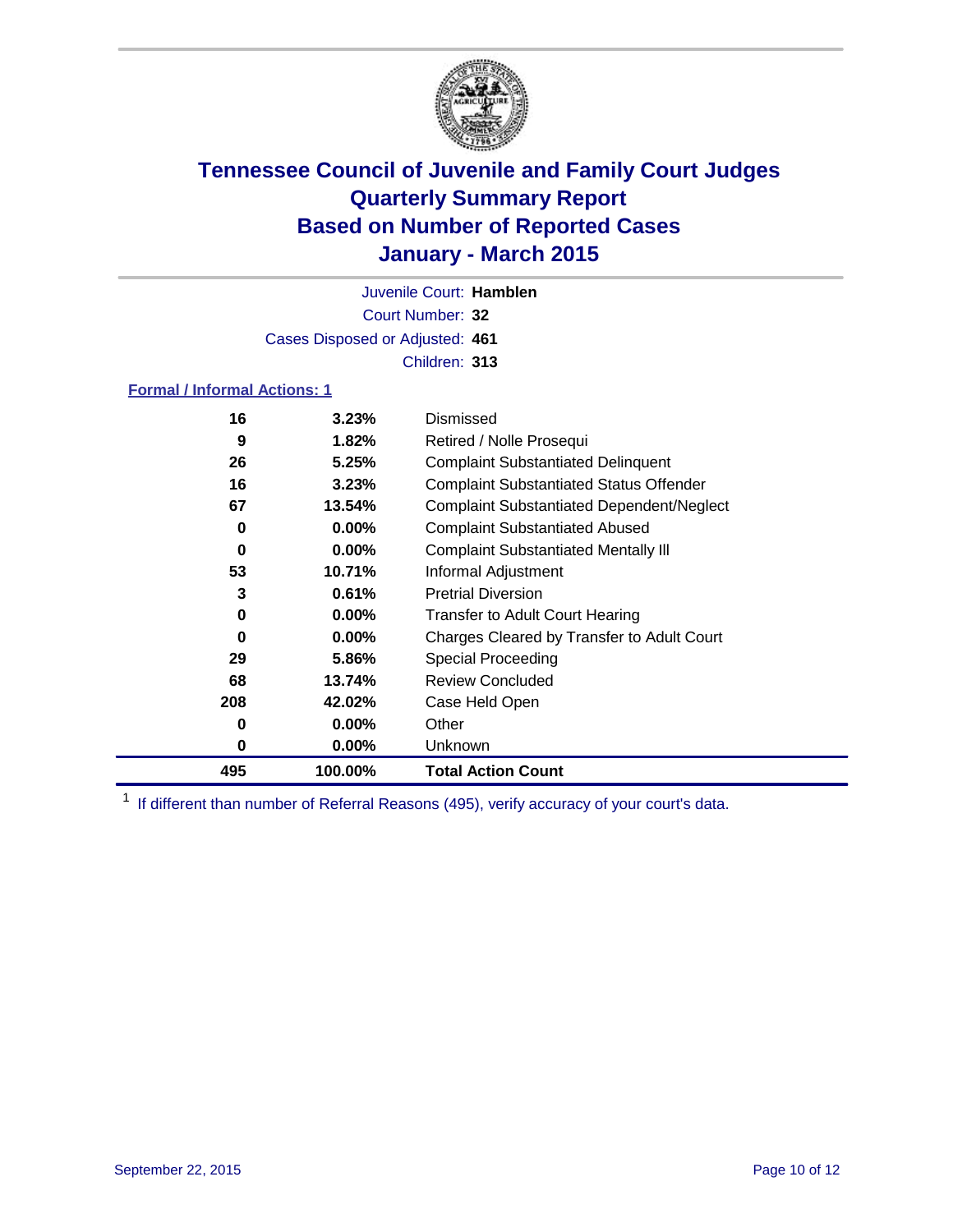

Court Number: **32** Juvenile Court: **Hamblen** Cases Disposed or Adjusted: **461** Children: **313**

### **Formal / Informal Actions: 1**

| 16  | 3.23%    | Dismissed                                        |
|-----|----------|--------------------------------------------------|
| 9   | 1.82%    | Retired / Nolle Prosequi                         |
| 26  | 5.25%    | <b>Complaint Substantiated Delinquent</b>        |
| 16  | 3.23%    | <b>Complaint Substantiated Status Offender</b>   |
| 67  | 13.54%   | <b>Complaint Substantiated Dependent/Neglect</b> |
| 0   | $0.00\%$ | <b>Complaint Substantiated Abused</b>            |
| 0   | $0.00\%$ | <b>Complaint Substantiated Mentally III</b>      |
| 53  | 10.71%   | Informal Adjustment                              |
| 3   | 0.61%    | <b>Pretrial Diversion</b>                        |
| 0   | $0.00\%$ | <b>Transfer to Adult Court Hearing</b>           |
| 0   | $0.00\%$ | Charges Cleared by Transfer to Adult Court       |
| 29  | 5.86%    | Special Proceeding                               |
| 68  | 13.74%   | <b>Review Concluded</b>                          |
| 208 | 42.02%   | Case Held Open                                   |
| 0   | $0.00\%$ | Other                                            |
| 0   | $0.00\%$ | Unknown                                          |
| 495 | 100.00%  | <b>Total Action Count</b>                        |

<sup>1</sup> If different than number of Referral Reasons (495), verify accuracy of your court's data.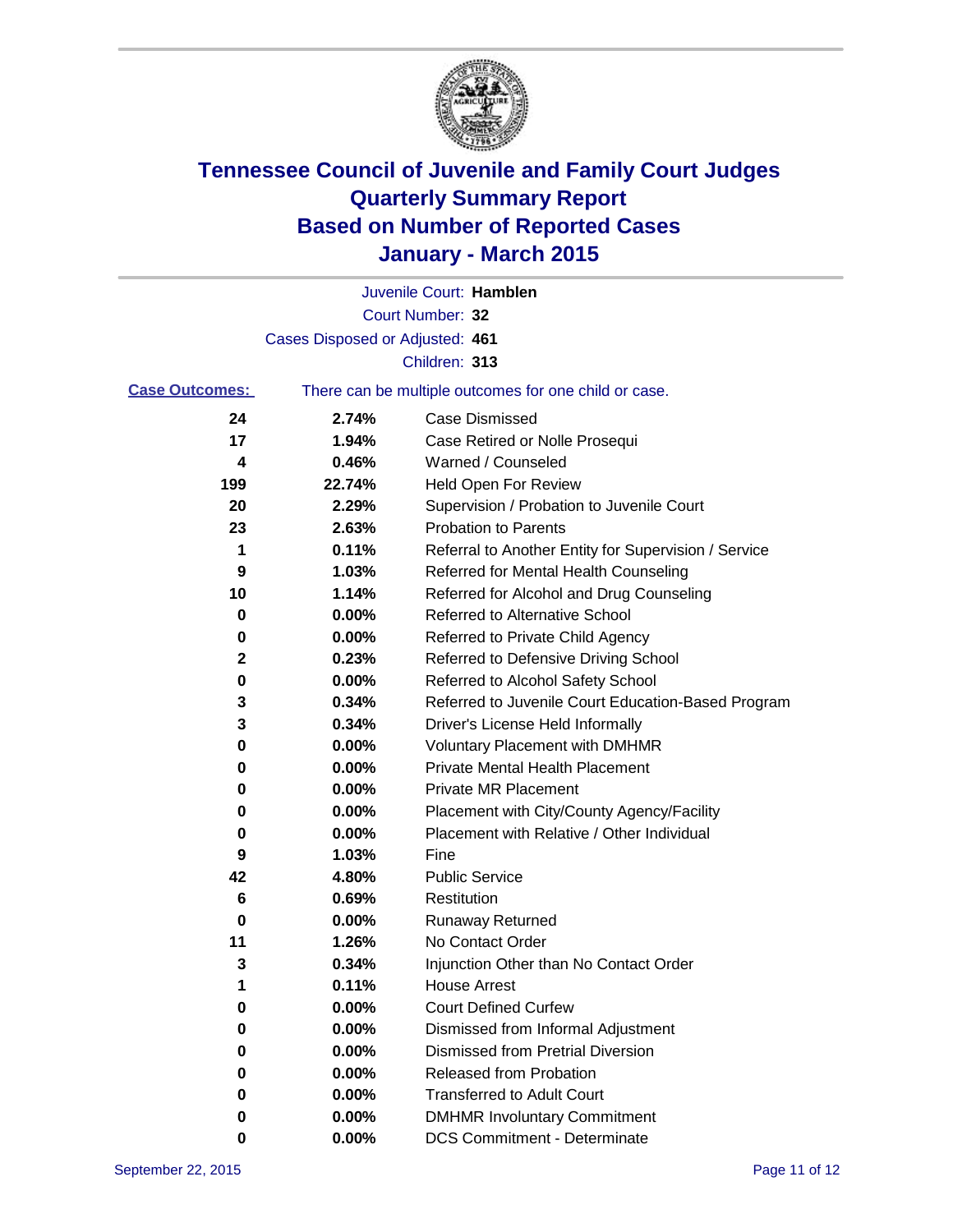

|                       |                                 | Juvenile Court: Hamblen                               |
|-----------------------|---------------------------------|-------------------------------------------------------|
|                       |                                 | Court Number: 32                                      |
|                       | Cases Disposed or Adjusted: 461 |                                                       |
|                       |                                 | Children: 313                                         |
| <b>Case Outcomes:</b> |                                 | There can be multiple outcomes for one child or case. |
| 24                    | 2.74%                           | Case Dismissed                                        |
| 17                    | 1.94%                           | Case Retired or Nolle Prosequi                        |
| 4                     | 0.46%                           | Warned / Counseled                                    |
| 199                   | 22.74%                          | Held Open For Review                                  |
| 20                    | 2.29%                           | Supervision / Probation to Juvenile Court             |
| 23                    | 2.63%                           | <b>Probation to Parents</b>                           |
| 1                     | 0.11%                           | Referral to Another Entity for Supervision / Service  |
| 9                     | 1.03%                           | Referred for Mental Health Counseling                 |
| 10                    | 1.14%                           | Referred for Alcohol and Drug Counseling              |
| 0                     | 0.00%                           | Referred to Alternative School                        |
| 0                     | 0.00%                           | Referred to Private Child Agency                      |
| 2                     | 0.23%                           | Referred to Defensive Driving School                  |
| 0                     | 0.00%                           | Referred to Alcohol Safety School                     |
| 3                     | 0.34%                           | Referred to Juvenile Court Education-Based Program    |
| 3                     | 0.34%                           | Driver's License Held Informally                      |
| 0                     | 0.00%                           | <b>Voluntary Placement with DMHMR</b>                 |
| 0                     | 0.00%                           | <b>Private Mental Health Placement</b>                |
| 0                     | 0.00%                           | <b>Private MR Placement</b>                           |
| 0                     | 0.00%                           | Placement with City/County Agency/Facility            |
| 0                     | 0.00%                           | Placement with Relative / Other Individual            |
| 9                     | 1.03%                           | Fine                                                  |
| 42                    | 4.80%                           | <b>Public Service</b>                                 |
| 6                     | 0.69%                           | Restitution                                           |
| 0                     | 0.00%                           | <b>Runaway Returned</b>                               |
| 11                    | 1.26%                           | No Contact Order                                      |
| 3                     | 0.34%                           | Injunction Other than No Contact Order                |
| 1                     | 0.11%                           | <b>House Arrest</b>                                   |
| 0                     | 0.00%                           | <b>Court Defined Curfew</b>                           |
| 0                     | 0.00%                           | Dismissed from Informal Adjustment                    |
| 0                     | 0.00%                           | <b>Dismissed from Pretrial Diversion</b>              |
| 0                     | 0.00%                           | Released from Probation                               |
| 0                     | 0.00%                           | <b>Transferred to Adult Court</b>                     |
| 0                     | 0.00%                           | <b>DMHMR Involuntary Commitment</b>                   |
| 0                     | 0.00%                           | <b>DCS Commitment - Determinate</b>                   |